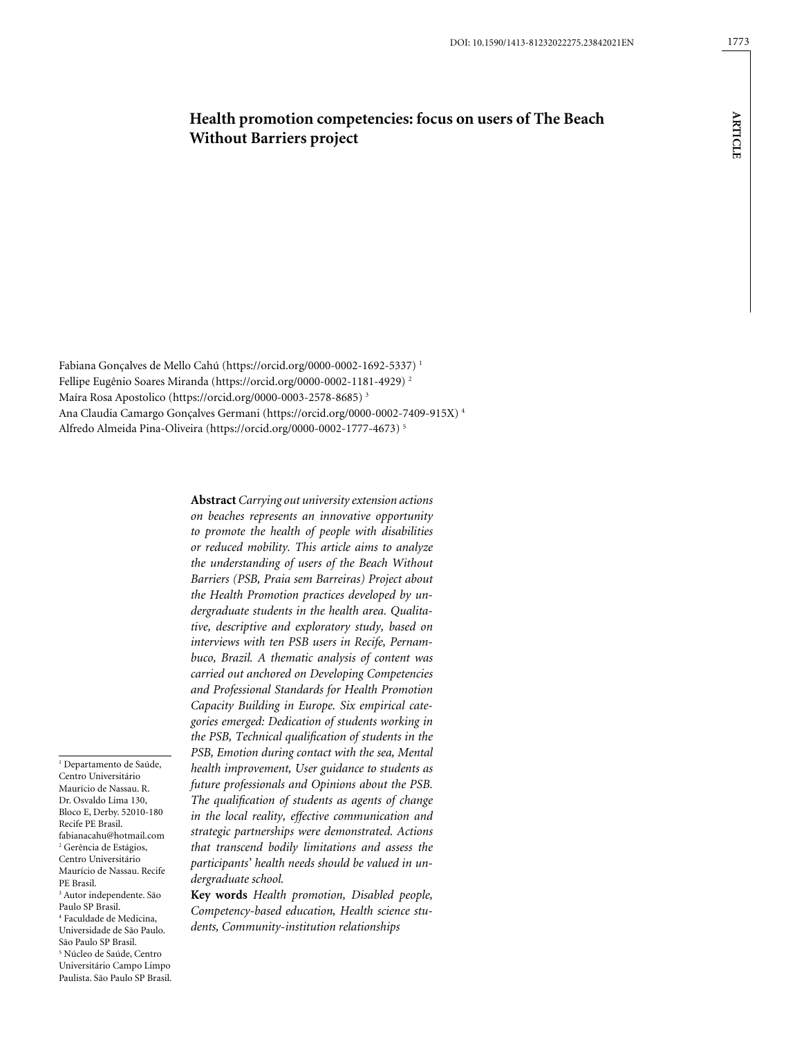Fabiana Gonçalves de Mello Cahú [\(https://orcid.org/0000-0002-1692-5337](https://orcid.org/0000-0002-1692-5337)) 1 Fellipe Eugênio Soares Miranda (https://orcid.org/0000-0002-1181-4929) 2

Maíra Rosa Apostolico (https://orcid.org/0000-0003-2578-8685) 3 Ana Claudia Camargo Gonçalves Germani (https://orcid.org/0000-0002-7409-915X) 4 Alfredo Almeida Pina-Oliveira (https://orcid.org/0000-0002-1777-4673) 5

> **Abstract** *Carrying out university extension actions on beaches represents an innovative opportunity to promote the health of people with disabilities or reduced mobility. This article aims to analyze the understanding of users of the Beach Without Barriers (PSB, Praia sem Barreiras) Project about the Health Promotion practices developed by undergraduate students in the health area. Qualitative, descriptive and exploratory study, based on interviews with ten PSB users in Recife, Pernambuco, Brazil. A thematic analysis of content was carried out anchored on Developing Competencies and Professional Standards for Health Promotion Capacity Building in Europe. Six empirical categories emerged: Dedication of students working in the PSB, Technical qualification of students in the PSB, Emotion during contact with the sea, Mental health improvement, User guidance to students as future professionals and Opinions about the PSB. The qualification of students as agents of change in the local reality, effective communication and strategic partnerships were demonstrated. Actions that transcend bodily limitations and assess the participants' health needs should be valued in undergraduate school.*

**Key words** *Health promotion, Disabled people, Competency-based education, Health science students, Community-institution relationships*

1 Departamento de Saúde, Centro Universitário Maurício de Nassau. R. Dr. Osvaldo Lima 130, Bloco E, Derby. 52010-180 Recife PE Brasil. fabianacahu@hotmail.com 2 Gerência de Estágios, Centro Universitário Maurício de Nassau. Recife PE Brasil. 3 Autor independente. São Paulo SP Brasil. 4 Faculdade de Medicina, Universidade de São Paulo. São Paulo SP Brasil. 5 Núcleo de Saúde, Centro Universitário Campo Limpo Paulista. São Paulo SP Brasil. **ARTICLE**

**ARTICLE**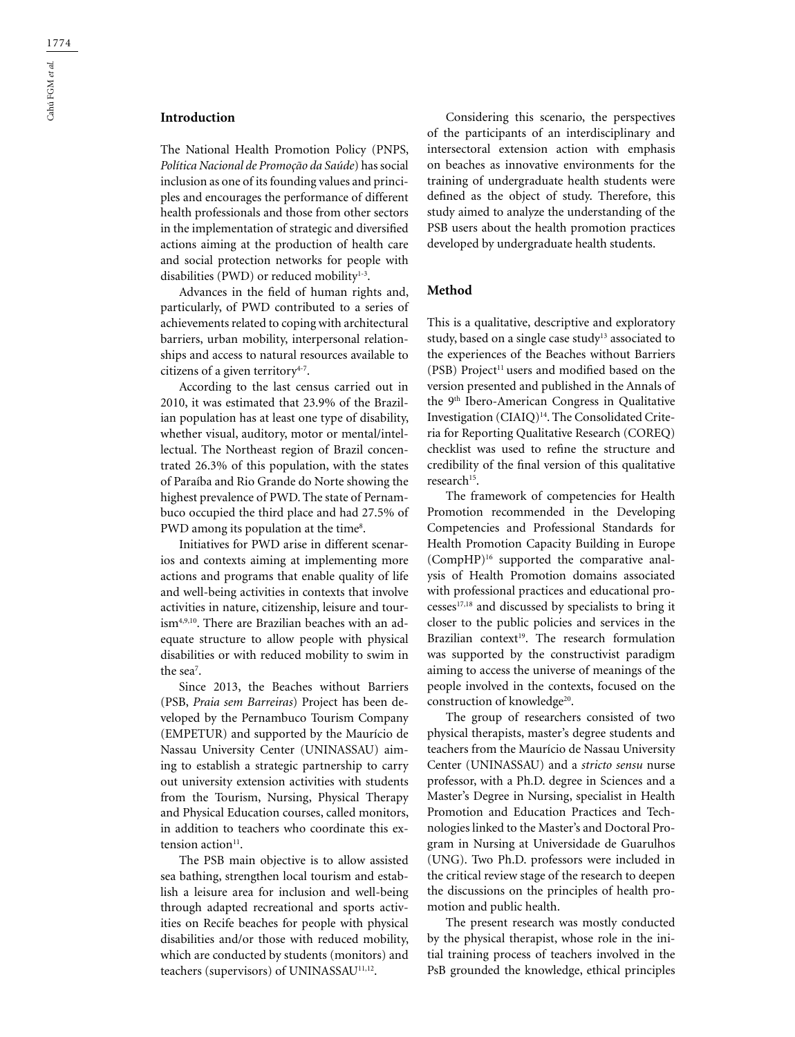# **Introduction**

The National Health Promotion Policy (PNPS, *Política Nacional de Promoção da Saúde*) has social inclusion as one of its founding values and principles and encourages the performance of different health professionals and those from other sectors in the implementation of strategic and diversified actions aiming at the production of health care and social protection networks for people with disabilities (PWD) or reduced mobility $1-3$ .

Advances in the field of human rights and, particularly, of PWD contributed to a series of achievements related to coping with architectural barriers, urban mobility, interpersonal relationships and access to natural resources available to citizens of a given territory $4-7$ .

According to the last census carried out in 2010, it was estimated that 23.9% of the Brazilian population has at least one type of disability, whether visual, auditory, motor or mental/intellectual. The Northeast region of Brazil concentrated 26.3% of this population, with the states of Paraíba and Rio Grande do Norte showing the highest prevalence of PWD. The state of Pernambuco occupied the third place and had 27.5% of  $\rm PWD$  among its population at the time $\rm ^8.$ 

Initiatives for PWD arise in different scenarios and contexts aiming at implementing more actions and programs that enable quality of life and well-being activities in contexts that involve activities in nature, citizenship, leisure and tourism4,9,10. There are Brazilian beaches with an adequate structure to allow people with physical disabilities or with reduced mobility to swim in the sea<sup>7</sup>.

Since 2013, the Beaches without Barriers (PSB, *Praia sem Barreiras*) Project has been developed by the Pernambuco Tourism Company (EMPETUR) and supported by the Maurício de Nassau University Center (UNINASSAU) aiming to establish a strategic partnership to carry out university extension activities with students from the Tourism, Nursing, Physical Therapy and Physical Education courses, called monitors, in addition to teachers who coordinate this extension action<sup>11</sup>.

The PSB main objective is to allow assisted sea bathing, strengthen local tourism and establish a leisure area for inclusion and well-being through adapted recreational and sports activities on Recife beaches for people with physical disabilities and/or those with reduced mobility, which are conducted by students (monitors) and teachers (supervisors) of UNINASSAU<sup>11,12</sup>.

Considering this scenario, the perspectives of the participants of an interdisciplinary and intersectoral extension action with emphasis on beaches as innovative environments for the training of undergraduate health students were defined as the object of study. Therefore, this study aimed to analyze the understanding of the PSB users about the health promotion practices developed by undergraduate health students.

# **Method**

This is a qualitative, descriptive and exploratory study, based on a single case study<sup>13</sup> associated to the experiences of the Beaches without Barriers (PSB) Project<sup>11</sup> users and modified based on the version presented and published in the Annals of the 9th Ibero-American Congress in Qualitative Investigation (CIAIQ)14. The Consolidated Criteria for Reporting Qualitative Research (COREQ) checklist was used to refine the structure and credibility of the final version of this qualitative research<sup>15</sup>.

The framework of competencies for Health Promotion recommended in the Developing Competencies and Professional Standards for Health Promotion Capacity Building in Europe (CompHP)16 supported the comparative analysis of Health Promotion domains associated with professional practices and educational processes17,18 and discussed by specialists to bring it closer to the public policies and services in the Brazilian context<sup>19</sup>. The research formulation was supported by the constructivist paradigm aiming to access the universe of meanings of the people involved in the contexts, focused on the construction of knowledge<sup>20</sup>.

The group of researchers consisted of two physical therapists, master's degree students and teachers from the Maurício de Nassau University Center (UNINASSAU) and a *stricto sensu* nurse professor, with a Ph.D. degree in Sciences and a Master's Degree in Nursing, specialist in Health Promotion and Education Practices and Technologies linked to the Master's and Doctoral Program in Nursing at Universidade de Guarulhos (UNG). Two Ph.D. professors were included in the critical review stage of the research to deepen the discussions on the principles of health promotion and public health.

The present research was mostly conducted by the physical therapist, whose role in the initial training process of teachers involved in the PsB grounded the knowledge, ethical principles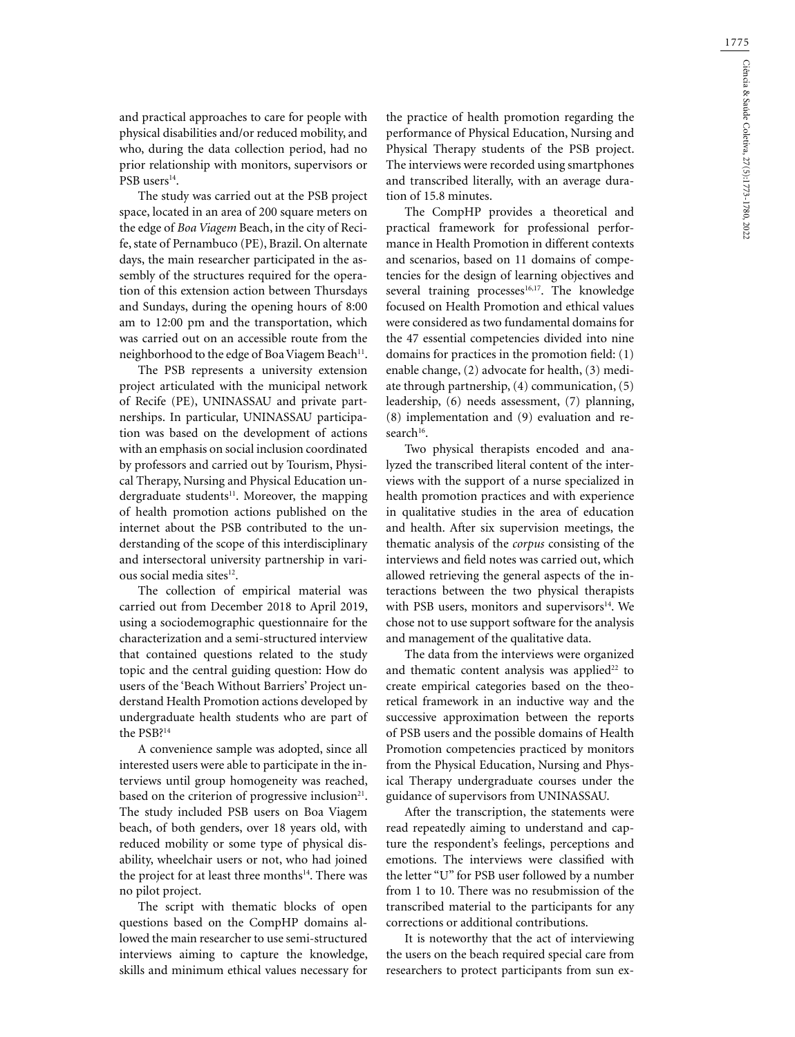and practical approaches to care for people with physical disabilities and/or reduced mobility, and who, during the data collection period, had no prior relationship with monitors, supervisors or PSB users<sup>14</sup>.

The study was carried out at the PSB project space, located in an area of 200 square meters on the edge of *Boa Viagem* Beach, in the city of Recife, state of Pernambuco (PE), Brazil. On alternate days, the main researcher participated in the assembly of the structures required for the operation of this extension action between Thursdays and Sundays, during the opening hours of 8:00 am to 12:00 pm and the transportation, which was carried out on an accessible route from the neighborhood to the edge of Boa Viagem Beach<sup>11</sup>.

The PSB represents a university extension project articulated with the municipal network of Recife (PE), UNINASSAU and private partnerships. In particular, UNINASSAU participation was based on the development of actions with an emphasis on social inclusion coordinated by professors and carried out by Tourism, Physical Therapy, Nursing and Physical Education undergraduate students<sup>11</sup>. Moreover, the mapping of health promotion actions published on the internet about the PSB contributed to the understanding of the scope of this interdisciplinary and intersectoral university partnership in various social media sites<sup>12</sup>.

The collection of empirical material was carried out from December 2018 to April 2019, using a sociodemographic questionnaire for the characterization and a semi-structured interview that contained questions related to the study topic and the central guiding question: How do users of the 'Beach Without Barriers' Project understand Health Promotion actions developed by undergraduate health students who are part of the PSB?14

A convenience sample was adopted, since all interested users were able to participate in the interviews until group homogeneity was reached, based on the criterion of progressive inclusion $21$ . The study included PSB users on Boa Viagem beach, of both genders, over 18 years old, with reduced mobility or some type of physical disability, wheelchair users or not, who had joined the project for at least three months<sup>14</sup>. There was no pilot project.

The script with thematic blocks of open questions based on the CompHP domains allowed the main researcher to use semi-structured interviews aiming to capture the knowledge, skills and minimum ethical values necessary for

the practice of health promotion regarding the performance of Physical Education, Nursing and Physical Therapy students of the PSB project. The interviews were recorded using smartphones and transcribed literally, with an average duration of 15.8 minutes.

The CompHP provides a theoretical and practical framework for professional performance in Health Promotion in different contexts and scenarios, based on 11 domains of competencies for the design of learning objectives and several training processes<sup>16,17</sup>. The knowledge focused on Health Promotion and ethical values were considered as two fundamental domains for the 47 essential competencies divided into nine domains for practices in the promotion field: (1) enable change, (2) advocate for health, (3) mediate through partnership, (4) communication, (5) leadership, (6) needs assessment, (7) planning, (8) implementation and (9) evaluation and research<sup>16</sup>.

Two physical therapists encoded and analyzed the transcribed literal content of the interviews with the support of a nurse specialized in health promotion practices and with experience in qualitative studies in the area of education and health. After six supervision meetings, the thematic analysis of the *corpus* consisting of the interviews and field notes was carried out, which allowed retrieving the general aspects of the interactions between the two physical therapists with PSB users, monitors and supervisors<sup>14</sup>. We chose not to use support software for the analysis and management of the qualitative data.

The data from the interviews were organized and thematic content analysis was applied<sup>22</sup> to create empirical categories based on the theoretical framework in an inductive way and the successive approximation between the reports of PSB users and the possible domains of Health Promotion competencies practiced by monitors from the Physical Education, Nursing and Physical Therapy undergraduate courses under the guidance of supervisors from UNINASSAU.

After the transcription, the statements were read repeatedly aiming to understand and capture the respondent's feelings, perceptions and emotions. The interviews were classified with the letter "U" for PSB user followed by a number from 1 to 10. There was no resubmission of the transcribed material to the participants for any corrections or additional contributions.

It is noteworthy that the act of interviewing the users on the beach required special care from researchers to protect participants from sun ex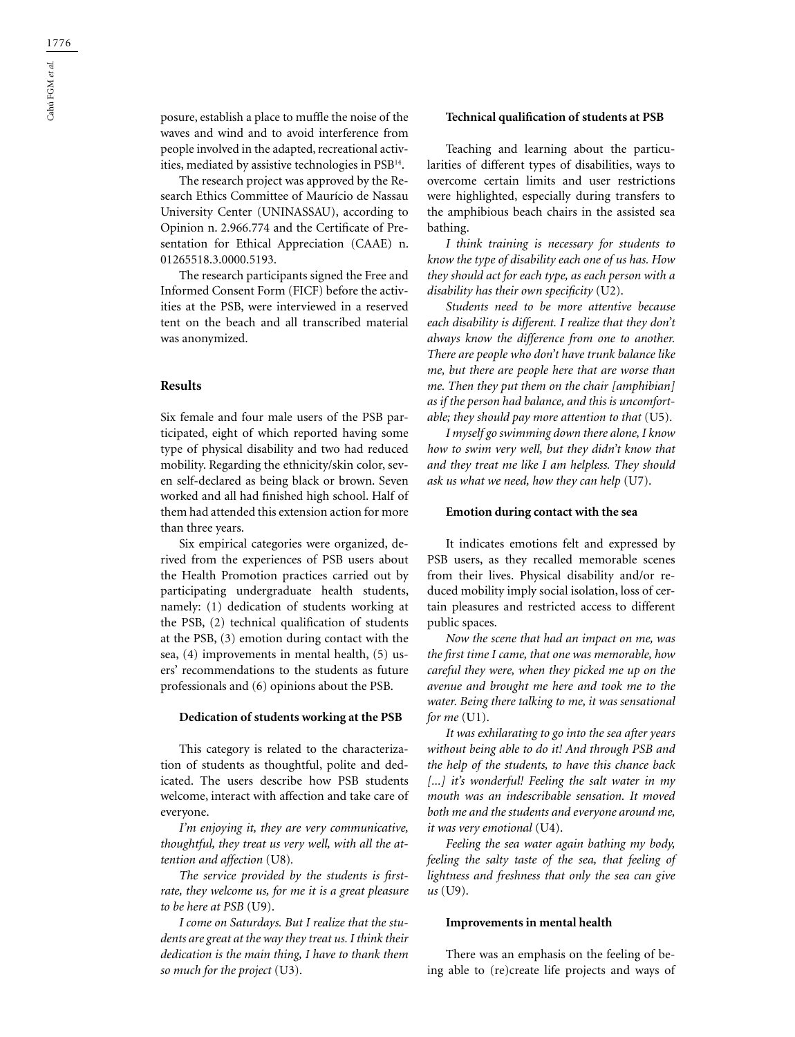posure, establish a place to muffle the noise of the waves and wind and to avoid interference from people involved in the adapted, recreational activities, mediated by assistive technologies in PSB14.

The research project was approved by the Research Ethics Committee of Maurício de Nassau University Center (UNINASSAU), according to Opinion n. 2.966.774 and the Certificate of Presentation for Ethical Appreciation (CAAE) n. 01265518.3.0000.5193.

The research participants signed the Free and Informed Consent Form (FICF) before the activities at the PSB, were interviewed in a reserved tent on the beach and all transcribed material was anonymized.

## **Results**

Six female and four male users of the PSB participated, eight of which reported having some type of physical disability and two had reduced mobility. Regarding the ethnicity/skin color, seven self-declared as being black or brown. Seven worked and all had finished high school. Half of them had attended this extension action for more than three years.

Six empirical categories were organized, derived from the experiences of PSB users about the Health Promotion practices carried out by participating undergraduate health students, namely: (1) dedication of students working at the PSB, (2) technical qualification of students at the PSB, (3) emotion during contact with the sea, (4) improvements in mental health, (5) users' recommendations to the students as future professionals and (6) opinions about the PSB.

#### **Dedication of students working at the PSB**

This category is related to the characterization of students as thoughtful, polite and dedicated. The users describe how PSB students welcome, interact with affection and take care of everyone.

*I'm enjoying it, they are very communicative, thoughtful, they treat us very well, with all the attention and affection* (U8)*.*

*The service provided by the students is firstrate, they welcome us, for me it is a great pleasure to be here at PSB* (U9).

*I come on Saturdays. But I realize that the students are great at the way they treat us. I think their dedication is the main thing, I have to thank them so much for the project* (U3).

## **Technical qualification of students at PSB**

Teaching and learning about the particularities of different types of disabilities, ways to overcome certain limits and user restrictions were highlighted, especially during transfers to the amphibious beach chairs in the assisted sea bathing.

*I think training is necessary for students to know the type of disability each one of us has. How they should act for each type, as each person with a disability has their own specificity* (U2).

*Students need to be more attentive because each disability is different. I realize that they don't always know the difference from one to another. There are people who don't have trunk balance like me, but there are people here that are worse than me. Then they put them on the chair [amphibian] as if the person had balance, and this is uncomfortable; they should pay more attention to that* (U5).

*I myself go swimming down there alone, I know how to swim very well, but they didn't know that and they treat me like I am helpless. They should ask us what we need, how they can help* (U7).

### **Emotion during contact with the sea**

It indicates emotions felt and expressed by PSB users, as they recalled memorable scenes from their lives. Physical disability and/or reduced mobility imply social isolation, loss of certain pleasures and restricted access to different public spaces.

*Now the scene that had an impact on me, was the first time I came, that one was memorable, how careful they were, when they picked me up on the avenue and brought me here and took me to the water. Being there talking to me, it was sensational for me* (U1).

*It was exhilarating to go into the sea after years without being able to do it! And through PSB and the help of the students, to have this chance back [...] it's wonderful! Feeling the salt water in my mouth was an indescribable sensation. It moved both me and the students and everyone around me, it was very emotional* (U4).

*Feeling the sea water again bathing my body, feeling the salty taste of the sea, that feeling of lightness and freshness that only the sea can give us* (U9).

#### **Improvements in mental health**

There was an emphasis on the feeling of being able to (re)create life projects and ways of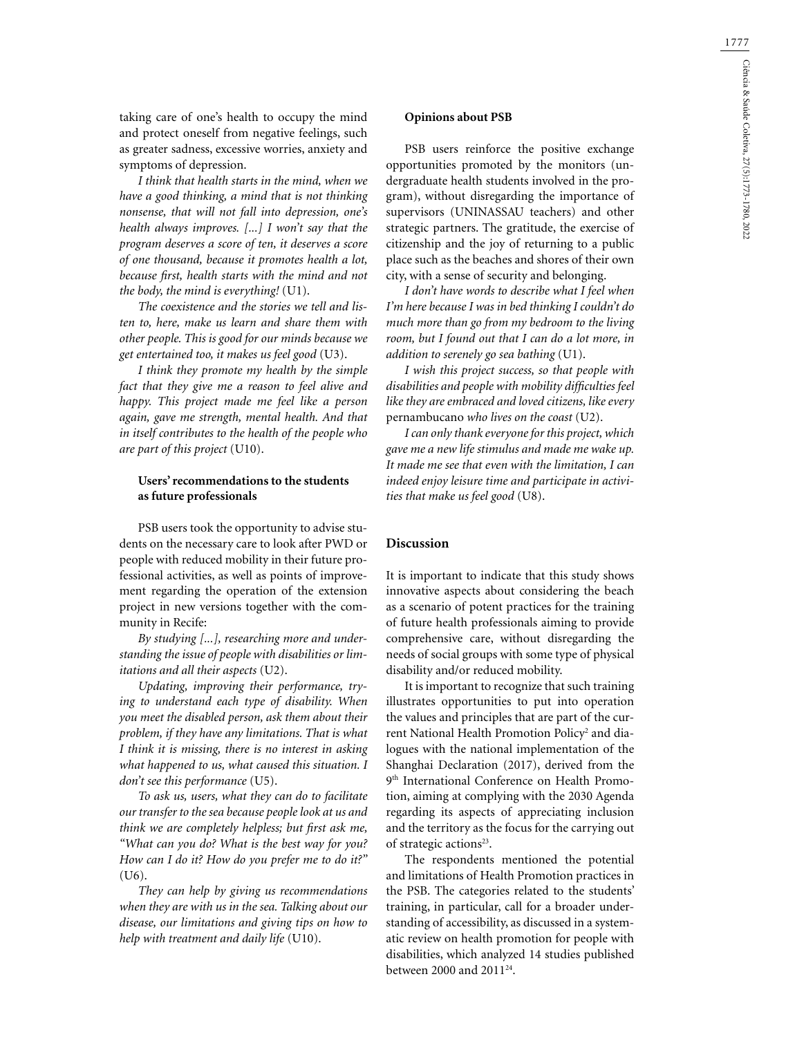taking care of one's health to occupy the mind and protect oneself from negative feelings, such as greater sadness, excessive worries, anxiety and symptoms of depression.

*I think that health starts in the mind, when we have a good thinking, a mind that is not thinking nonsense, that will not fall into depression, one's health always improves. [...] I won't say that the program deserves a score of ten, it deserves a score of one thousand, because it promotes health a lot, because first, health starts with the mind and not the body, the mind is everything!* (U1).

*The coexistence and the stories we tell and listen to, here, make us learn and share them with other people. This is good for our minds because we get entertained too, it makes us feel good* (U3).

*I think they promote my health by the simple fact that they give me a reason to feel alive and happy. This project made me feel like a person again, gave me strength, mental health. And that in itself contributes to the health of the people who are part of this project* (U10).

# **Users' recommendations to the students as future professionals**

PSB users took the opportunity to advise students on the necessary care to look after PWD or people with reduced mobility in their future professional activities, as well as points of improvement regarding the operation of the extension project in new versions together with the community in Recife:

*By studying [...], researching more and understanding the issue of people with disabilities or limitations and all their aspects* (U2).

*Updating, improving their performance, trying to understand each type of disability. When you meet the disabled person, ask them about their problem, if they have any limitations. That is what I think it is missing, there is no interest in asking what happened to us, what caused this situation. I don't see this performance* (U5).

*To ask us, users, what they can do to facilitate our transfer to the sea because people look at us and think we are completely helpless; but first ask me, "What can you do? What is the best way for you? How can I do it? How do you prefer me to do it?"*  (U6).

*They can help by giving us recommendations when they are with us in the sea. Talking about our disease, our limitations and giving tips on how to help with treatment and daily life* (U10).

## **Opinions about PSB**

PSB users reinforce the positive exchange opportunities promoted by the monitors (undergraduate health students involved in the program), without disregarding the importance of supervisors (UNINASSAU teachers) and other strategic partners. The gratitude, the exercise of citizenship and the joy of returning to a public place such as the beaches and shores of their own city, with a sense of security and belonging.

*I don't have words to describe what I feel when I'm here because I was in bed thinking I couldn't do much more than go from my bedroom to the living room, but I found out that I can do a lot more, in addition to serenely go sea bathing* (U1).

*I wish this project success, so that people with disabilities and people with mobility difficulties feel like they are embraced and loved citizens, like every*  pernambucano *who lives on the coast* (U2).

*I can only thank everyone for this project, which gave me a new life stimulus and made me wake up. It made me see that even with the limitation, I can indeed enjoy leisure time and participate in activities that make us feel good* (U8).

# **Discussion**

It is important to indicate that this study shows innovative aspects about considering the beach as a scenario of potent practices for the training of future health professionals aiming to provide comprehensive care, without disregarding the needs of social groups with some type of physical disability and/or reduced mobility.

It is important to recognize that such training illustrates opportunities to put into operation the values and principles that are part of the current National Health Promotion Policy<sup>2</sup> and dialogues with the national implementation of the Shanghai Declaration (2017), derived from the 9th International Conference on Health Promotion, aiming at complying with the 2030 Agenda regarding its aspects of appreciating inclusion and the territory as the focus for the carrying out of strategic actions<sup>23</sup>.

The respondents mentioned the potential and limitations of Health Promotion practices in the PSB. The categories related to the students' training, in particular, call for a broader understanding of accessibility, as discussed in a systematic review on health promotion for people with disabilities, which analyzed 14 studies published between 2000 and 201124.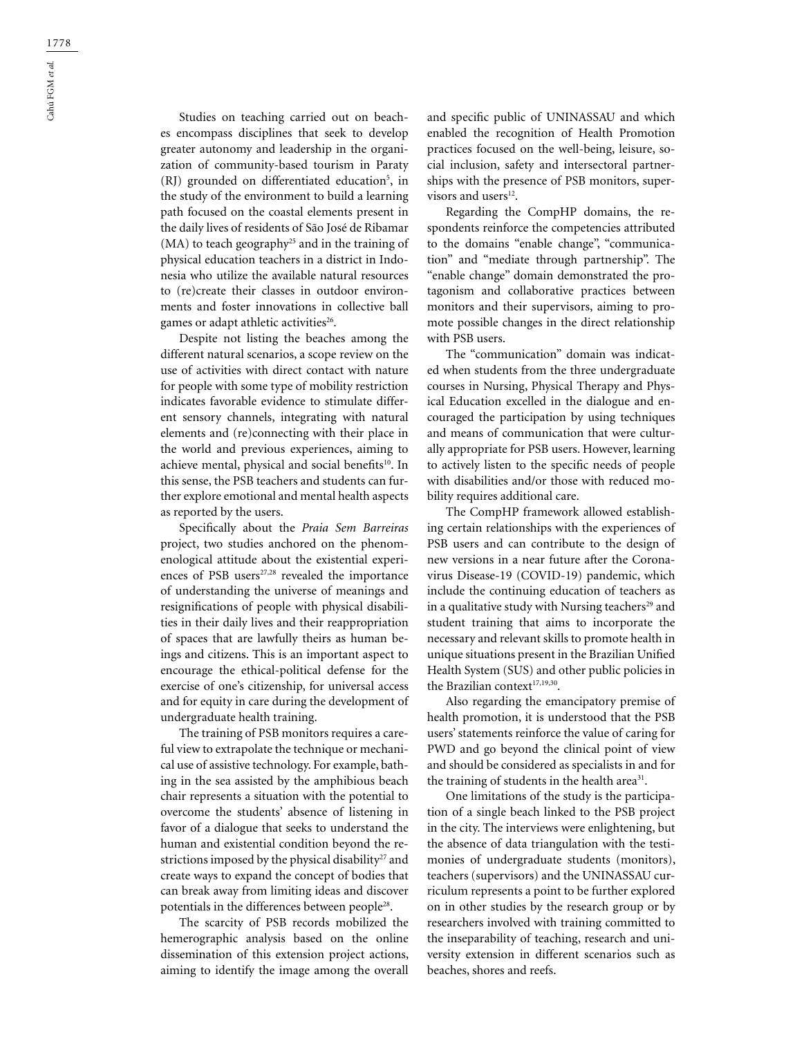Studies on teaching carried out on beaches encompass disciplines that seek to develop greater autonomy and leadership in the organization of community-based tourism in Paraty (RJ) grounded on differentiated education<sup>5</sup>, in the study of the environment to build a learning path focused on the coastal elements present in the daily lives of residents of São José de Ribamar (MA) to teach geography<sup>25</sup> and in the training of physical education teachers in a district in Indonesia who utilize the available natural resources to (re)create their classes in outdoor environments and foster innovations in collective ball games or adapt athletic activities<sup>26</sup>.

Despite not listing the beaches among the different natural scenarios, a scope review on the use of activities with direct contact with nature for people with some type of mobility restriction indicates favorable evidence to stimulate different sensory channels, integrating with natural elements and (re)connecting with their place in the world and previous experiences, aiming to achieve mental, physical and social benefits<sup>10</sup>. In this sense, the PSB teachers and students can further explore emotional and mental health aspects as reported by the users.

Specifically about the *Praia Sem Barreiras* project, two studies anchored on the phenomenological attitude about the existential experiences of PSB users<sup>27,28</sup> revealed the importance of understanding the universe of meanings and resignifications of people with physical disabilities in their daily lives and their reappropriation of spaces that are lawfully theirs as human beings and citizens. This is an important aspect to encourage the ethical-political defense for the exercise of one's citizenship, for universal access and for equity in care during the development of undergraduate health training.

The training of PSB monitors requires a careful view to extrapolate the technique or mechanical use of assistive technology. For example, bathing in the sea assisted by the amphibious beach chair represents a situation with the potential to overcome the students' absence of listening in favor of a dialogue that seeks to understand the human and existential condition beyond the restrictions imposed by the physical disability<sup>27</sup> and create ways to expand the concept of bodies that can break away from limiting ideas and discover potentials in the differences between people28.

The scarcity of PSB records mobilized the hemerographic analysis based on the online dissemination of this extension project actions, aiming to identify the image among the overall and specific public of UNINASSAU and which enabled the recognition of Health Promotion practices focused on the well-being, leisure, social inclusion, safety and intersectoral partnerships with the presence of PSB monitors, supervisors and users<sup>12</sup>.

Regarding the CompHP domains, the respondents reinforce the competencies attributed to the domains "enable change", "communication" and "mediate through partnership". The "enable change" domain demonstrated the protagonism and collaborative practices between monitors and their supervisors, aiming to promote possible changes in the direct relationship with PSB users.

The "communication" domain was indicated when students from the three undergraduate courses in Nursing, Physical Therapy and Physical Education excelled in the dialogue and encouraged the participation by using techniques and means of communication that were culturally appropriate for PSB users. However, learning to actively listen to the specific needs of people with disabilities and/or those with reduced mobility requires additional care.

The CompHP framework allowed establishing certain relationships with the experiences of PSB users and can contribute to the design of new versions in a near future after the Coronavirus Disease-19 (COVID-19) pandemic, which include the continuing education of teachers as in a qualitative study with Nursing teachers<sup>29</sup> and student training that aims to incorporate the necessary and relevant skills to promote health in unique situations present in the Brazilian Unified Health System (SUS) and other public policies in the Brazilian context<sup>17,19,30</sup>.

Also regarding the emancipatory premise of health promotion, it is understood that the PSB users' statements reinforce the value of caring for PWD and go beyond the clinical point of view and should be considered as specialists in and for the training of students in the health area<sup>31</sup>.

One limitations of the study is the participation of a single beach linked to the PSB project in the city. The interviews were enlightening, but the absence of data triangulation with the testimonies of undergraduate students (monitors), teachers (supervisors) and the UNINASSAU curriculum represents a point to be further explored on in other studies by the research group or by researchers involved with training committed to the inseparability of teaching, research and university extension in different scenarios such as beaches, shores and reefs.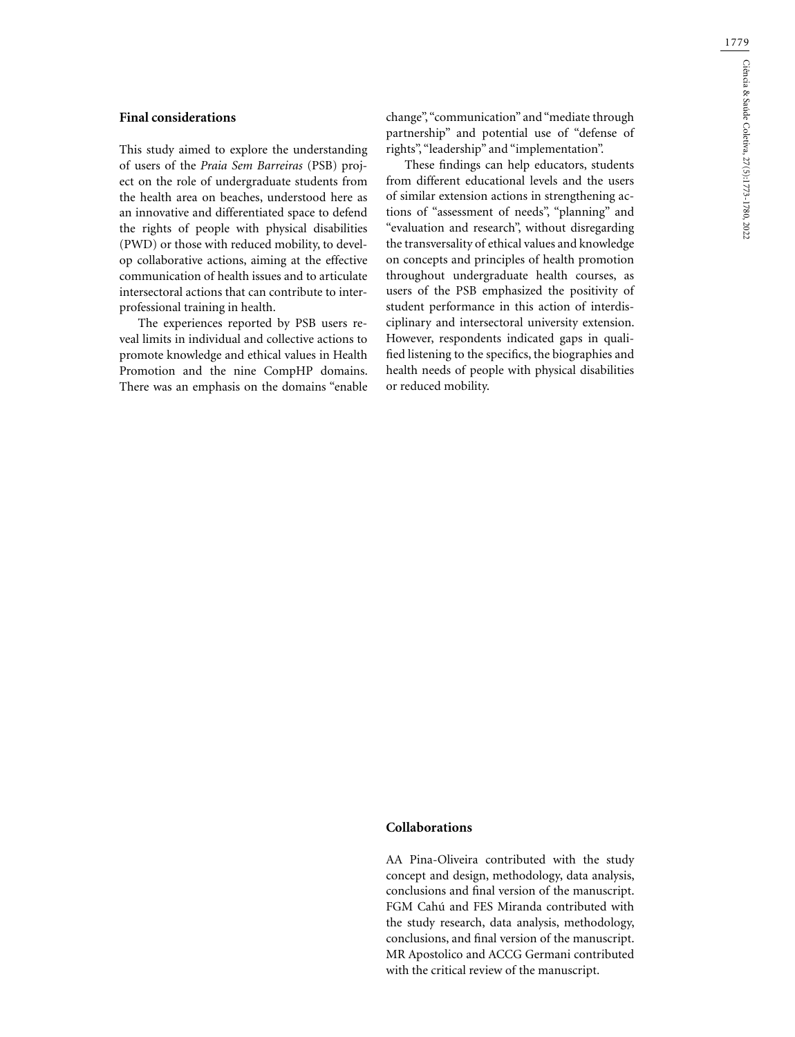## **Final considerations**

This study aimed to explore the understanding of users of the *Praia Sem Barreiras* (PSB) project on the role of undergraduate students from the health area on beaches, understood here as an innovative and differentiated space to defend the rights of people with physical disabilities (PWD) or those with reduced mobility, to develop collaborative actions, aiming at the effective communication of health issues and to articulate intersectoral actions that can contribute to interprofessional training in health.

The experiences reported by PSB users reveal limits in individual and collective actions to promote knowledge and ethical values in Health Promotion and the nine CompHP domains. There was an emphasis on the domains "enable change", "communication" and "mediate through partnership" and potential use of "defense of rights", "leadership" and "implementation".

These findings can help educators, students from different educational levels and the users of similar extension actions in strengthening actions of "assessment of needs", "planning" and "evaluation and research", without disregarding the transversality of ethical values and knowledge on concepts and principles of health promotion throughout undergraduate health courses, as users of the PSB emphasized the positivity of student performance in this action of interdisciplinary and intersectoral university extension. However, respondents indicated gaps in qualified listening to the specifics, the biographies and health needs of people with physical disabilities or reduced mobility.

## **Collaborations**

AA Pina-Oliveira contributed with the study concept and design, methodology, data analysis, conclusions and final version of the manuscript. FGM Cahú and FES Miranda contributed with the study research, data analysis, methodology, conclusions, and final version of the manuscript. MR Apostolico and ACCG Germani contributed with the critical review of the manuscript.